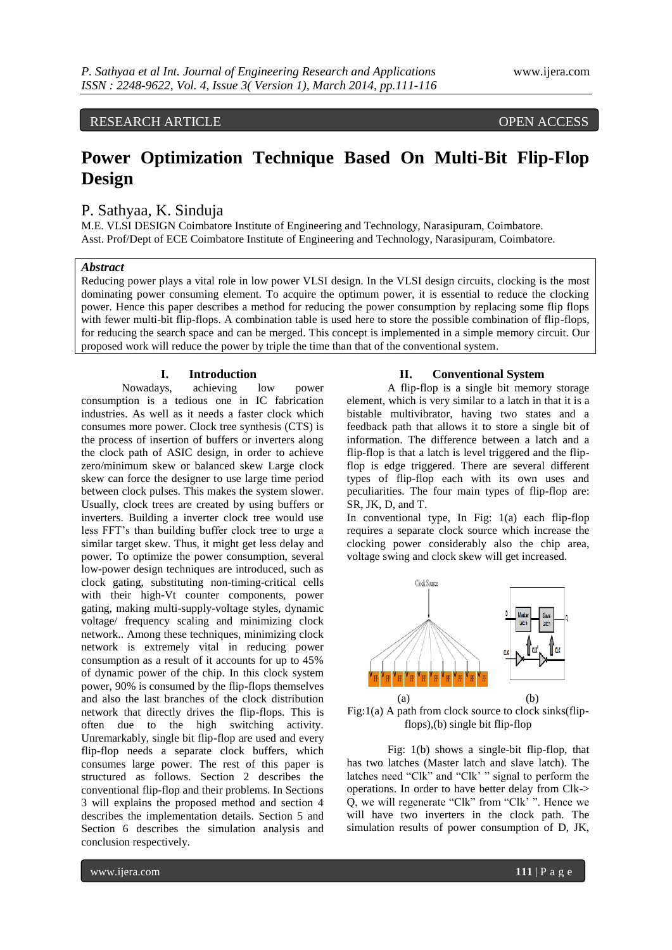## RESEARCH ARTICLE OPEN ACCESS

## **Power Optimization Technique Based On Multi-Bit Flip-Flop Design**

## P. Sathyaa, K. Sinduja

M.E. VLSI DESIGN Coimbatore Institute of Engineering and Technology, Narasipuram, Coimbatore. Asst. Prof/Dept of ECE Coimbatore Institute of Engineering and Technology, Narasipuram, Coimbatore.

#### *Abstract*

Reducing power plays a vital role in low power VLSI design. In the VLSI design circuits, clocking is the most dominating power consuming element. To acquire the optimum power, it is essential to reduce the clocking power. Hence this paper describes a method for reducing the power consumption by replacing some flip flops with fewer multi-bit flip-flops. A combination table is used here to store the possible combination of flip-flops, for reducing the search space and can be merged. This concept is implemented in a simple memory circuit. Our proposed work will reduce the power by triple the time than that of the conventional system.

# **I. Introduction**<br>vs. achieving

Nowadays, achieving low power consumption is a tedious one in IC fabrication industries. As well as it needs a faster clock which consumes more power. Clock tree synthesis (CTS) is the process of insertion of buffers or inverters along the clock path of ASIC design, in order to achieve zero/minimum skew or balanced skew Large clock skew can force the designer to use large time period between clock pulses. This makes the system slower. Usually, clock trees are created by using buffers or inverters. Building a inverter clock tree would use less FFT's than building buffer clock tree to urge a similar target skew. Thus, it might get less delay and power. To optimize the power consumption, several low-power design techniques are introduced, such as clock gating, substituting non-timing-critical cells with their high-Vt counter components, power gating, making multi-supply-voltage styles, dynamic voltage/ frequency scaling and minimizing clock network.. Among these techniques, minimizing clock network is extremely vital in reducing power consumption as a result of it accounts for up to 45% of dynamic power of the chip. In this clock system power, 90% is consumed by the flip-flops themselves and also the last branches of the clock distribution network that directly drives the flip-flops. This is often due to the high switching activity. Unremarkably, single bit flip-flop are used and every flip-flop needs a separate clock buffers, which consumes large power. The rest of this paper is structured as follows. Section 2 describes the conventional flip-flop and their problems. In Sections 3 will explains the proposed method and section 4 describes the implementation details. Section 5 and Section 6 describes the simulation analysis and conclusion respectively.

#### **II. Conventional System**

A flip-flop is a single bit memory storage element, which is very similar to [a latch](https://en.wikibooks.org/wiki/Digital_Circuits/Latches) in that it is a bistable multivibrator, having two states and a feedback path that allows it to store a single bit of information. The difference between a latch and a flip-flop is that a latch is level triggered and the flipflop is edge triggered. There are several different types of flip-flop each with its own uses and peculiarities. The four main types of flip-flop are: SR, JK, D, and T.

In conventional type, In Fig: 1(a) each flip-flop requires a separate clock source which increase the clocking power considerably also the chip area, voltage swing and clock skew will get increased.



Fig: $1(a)$  A path from clock source to clock sinks(flipflops),(b) single bit flip-flop

Fig: 1(b) shows a single-bit flip-flop, that has two latches (Master latch and slave latch). The latches need "Clk" and "Clk' " signal to perform the operations. In order to have better delay from Clk-> Q, we will regenerate "Clk" from "Clk' ". Hence we will have two inverters in the clock path. The simulation results of power consumption of D, JK,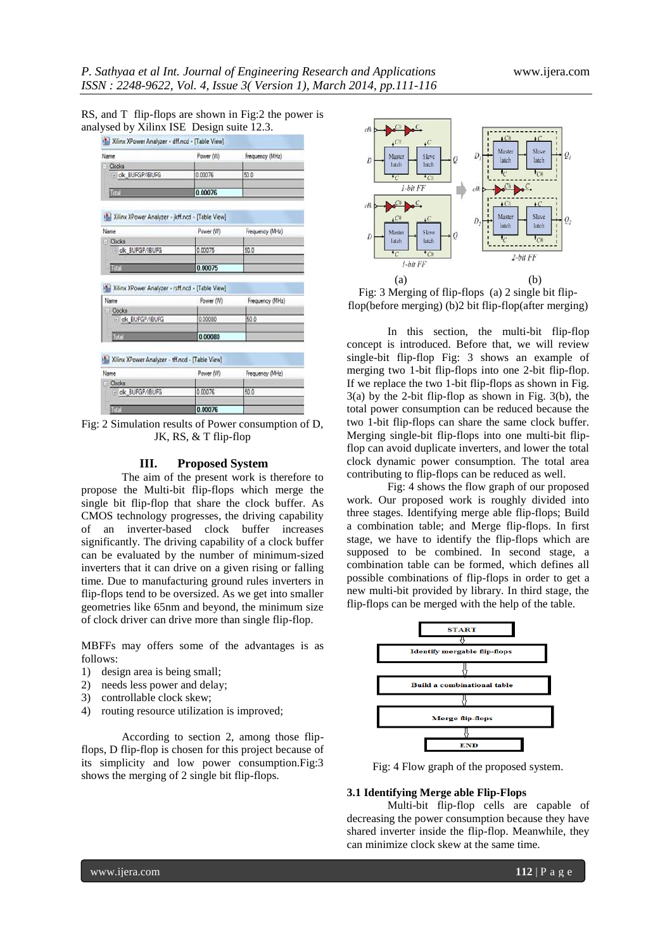| RS, and T flip-flops are shown in Fig:2 the power is |  |  |
|------------------------------------------------------|--|--|
| analysed by Xilinx ISE Design suite 12.3.            |  |  |

| Name                                                     | Power (W) | Frequency (MHz) |
|----------------------------------------------------------|-----------|-----------------|
| - Clocks                                                 |           |                 |
| - ck_BUFGP/IBUFG                                         | 0.00076   | 50.0            |
| Total                                                    | 0.00076   |                 |
| Xilinx XPower Analyzer - jkff.ncd - [Table View]         |           |                 |
| Name                                                     | Power (W) | Frequency (MHz) |
| - Clocks                                                 |           |                 |
| (+ ck_BUFGP/IBUFG                                        | 0.00075   | 50.0            |
|                                                          |           |                 |
| Tory                                                     | 0.00075   |                 |
| Xilinx XPower Analyzer - rsff.ncd - [Table View]<br>Name | Power (W) | Frequency (MHz) |
|                                                          |           |                 |
| - Clocks<br>F ck_BUFGP/IBUFG                             | 0.00080   | 50.0            |
| Total                                                    | 0.00080   |                 |
| M.J. Xilinx XPower Analyzer - tff.ncd - [Table View]     |           |                 |
| Name                                                     | Power (W) | Frequency (MHz) |
| - Clocks                                                 |           |                 |
| + ck_BUFGP/IBUFG                                         | 0.00076   | 50.0            |

Fig: 2 Simulation results of Power consumption of D, JK, RS, & T flip-flop

#### **III. Proposed System**

The aim of the present work is therefore to propose the Multi-bit flip-flops which merge the single bit flip-flop that share the clock buffer. As CMOS technology progresses, the driving capability of an inverter-based clock buffer increases significantly. The driving capability of a clock buffer can be evaluated by the number of minimum-sized inverters that it can drive on a given rising or falling time. Due to manufacturing ground rules inverters in flip-flops tend to be oversized. As we get into smaller geometries like 65nm and beyond, the minimum size of clock driver can drive more than single flip-flop.

MBFFs may offers some of the advantages is as follows:

- 1) design area is being small;
- 2) needs less power and delay;
- 3) controllable clock skew;
- 4) routing resource utilization is improved;

According to section 2, among those flipflops, D flip-flop is chosen for this project because of its simplicity and low power consumption.Fig:3 shows the merging of 2 single bit flip-flops.



Fig: 3 Merging of flip-flops (a) 2 single bit flipflop(before merging) (b)2 bit flip-flop(after merging)

In this section, the multi-bit flip-flop concept is introduced. Before that, we will review single-bit flip-flop Fig: 3 shows an example of merging two 1-bit flip-flops into one 2-bit flip-flop. If we replace the two 1-bit flip-flops as shown in Fig. 3(a) by the 2-bit flip-flop as shown in Fig. 3(b), the total power consumption can be reduced because the two 1-bit flip-flops can share the same clock buffer. Merging single-bit flip-flops into one multi-bit flipflop can avoid duplicate inverters, and lower the total clock dynamic power consumption. The total area contributing to flip-flops can be reduced as well.

Fig: 4 shows the flow graph of our proposed work. Our proposed work is roughly divided into three stages. Identifying merge able flip-flops; Build a combination table; and Merge flip-flops. In first stage, we have to identify the flip-flops which are supposed to be combined. In second stage, a combination table can be formed, which defines all possible combinations of flip-flops in order to get a new multi-bit provided by library. In third stage, the flip-flops can be merged with the help of the table.



Fig: 4 Flow graph of the proposed system.

#### **3.1 Identifying Merge able Flip-Flops**

Multi-bit flip-flop cells are capable of decreasing the power consumption because they have shared inverter inside the flip-flop. Meanwhile, they can minimize clock skew at the same time.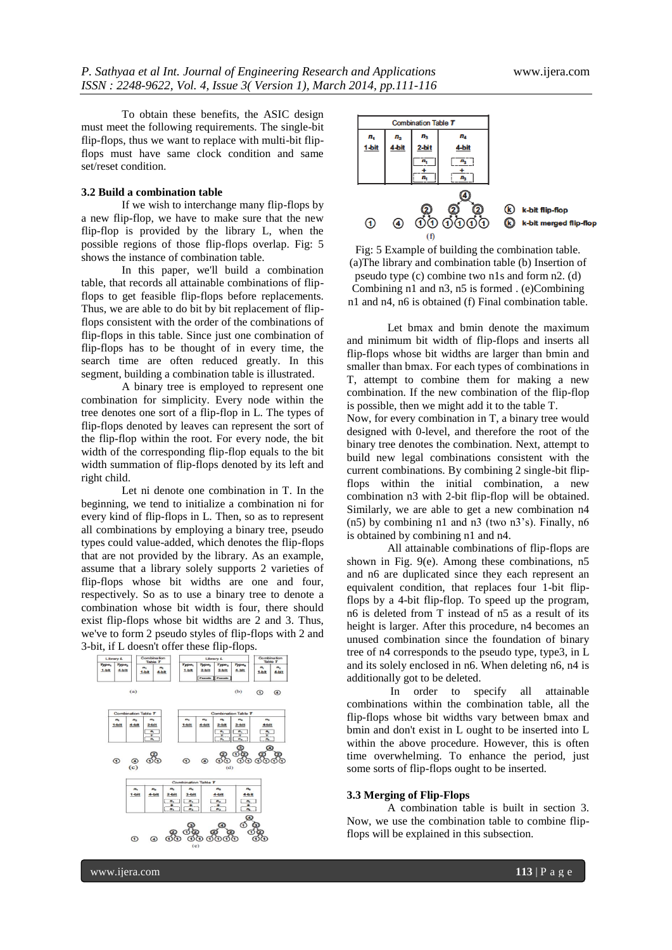To obtain these benefits, the ASIC design must meet the following requirements. The single-bit flip-flops, thus we want to replace with multi-bit flipflops must have same clock condition and same set/reset condition.

#### **3.2 Build a combination table**

If we wish to interchange many flip-flops by a new flip-flop, we have to make sure that the new flip-flop is provided by the library L, when the possible regions of those flip-flops overlap. Fig: 5 shows the instance of combination table.

In this paper, we'll build a combination table, that records all attainable combinations of flipflops to get feasible flip-flops before replacements. Thus, we are able to do bit by bit replacement of flipflops consistent with the order of the combinations of flip-flops in this table. Since just one combination of flip-flops has to be thought of in every time, the search time are often reduced greatly. In this segment, building a combination table is illustrated.

A binary tree is employed to represent one combination for simplicity. Every node within the tree denotes one sort of a flip-flop in L. The types of flip-flops denoted by leaves can represent the sort of the flip-flop within the root. For every node, the bit width of the corresponding flip-flop equals to the bit width summation of flip-flops denoted by its left and right child.

Let ni denote one combination in T. In the beginning, we tend to initialize a combination ni for every kind of flip-flops in L. Then, so as to represent all combinations by employing a binary tree, pseudo types could value-added, which denotes the flip-flops that are not provided by the library. As an example, assume that a library solely supports 2 varieties of flip-flops whose bit widths are one and four, respectively. So as to use a binary tree to denote a combination whose bit width is four, there should exist flip-flops whose bit widths are 2 and 3. Thus, we've to form 2 pseudo styles of flip-flops with 2 and 3-bit, if L doesn't offer these flip-flops.





Fig: 5 Example of building the combination table. (a)The library and combination table (b) Insertion of pseudo type (c) combine two n1s and form n2. (d) Combining n1 and n3, n5 is formed . (e)Combining n1 and n4, n6 is obtained (f) Final combination table.

Let bmax and bmin denote the maximum and minimum bit width of flip-flops and inserts all flip-flops whose bit widths are larger than bmin and smaller than bmax. For each types of combinations in T, attempt to combine them for making a new combination. If the new combination of the flip-flop is possible, then we might add it to the table T. Now, for every combination in T, a binary tree would designed with 0-level, and therefore the root of the binary tree denotes the combination. Next, attempt to build new legal combinations consistent with the current combinations. By combining 2 single-bit flipflops within the initial combination, a new combination n3 with 2-bit flip-flop will be obtained. Similarly, we are able to get a new combination n4  $(n5)$  by combining n1 and n3 (two n3's). Finally, n6 is obtained by combining n1 and n4.

All attainable combinations of flip-flops are shown in Fig. 9(e). Among these combinations, n5 and n6 are duplicated since they each represent an equivalent condition, that replaces four 1-bit flipflops by a 4-bit flip-flop. To speed up the program, n6 is deleted from T instead of n5 as a result of its height is larger. After this procedure, n4 becomes an unused combination since the foundation of binary tree of n4 corresponds to the pseudo type, type3, in L and its solely enclosed in n6. When deleting n6, n4 is additionally got to be deleted.

In order to specify all attainable combinations within the combination table, all the flip-flops whose bit widths vary between bmax and bmin and don't exist in L ought to be inserted into L within the above procedure. However, this is often time overwhelming. To enhance the period, just some sorts of flip-flops ought to be inserted.

#### **3.3 Merging of Flip-Flops**

A combination table is built in section 3. Now, we use the combination table to combine flipflops will be explained in this subsection.

www.ijera.com **113** | P a g e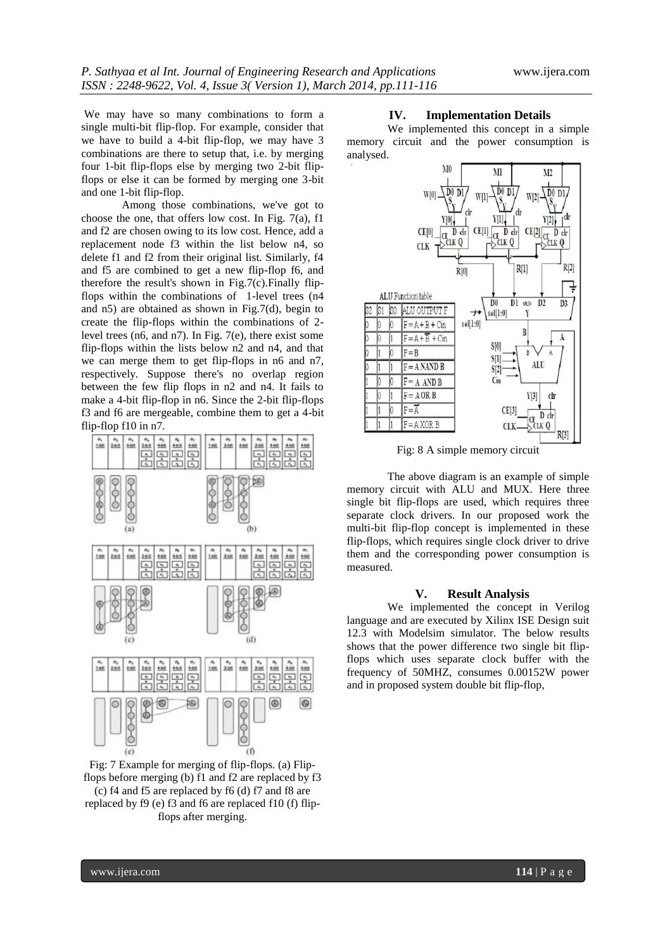We may have so many combinations to form a single multi-bit flip-flop. For example, consider that we have to build a 4-bit flip-flop, we may have 3 combinations are there to setup that, i.e. by merging four 1-bit flip-flops else by merging two 2-bit flipflops or else it can be formed by merging one 3-bit and one 1-bit flip-flop.

Among those combinations, we've got to choose the one, that offers low cost. In Fig. 7(a), f1 and f2 are chosen owing to its low cost. Hence, add a replacement node f3 within the list below n4, so delete f1 and f2 from their original list. Similarly, f4 and f5 are combined to get a new flip-flop f6, and therefore the result's shown in Fig.7(c). Finally flipflops within the combinations of 1-level trees (n4 and n5) are obtained as shown in Fig.7(d), begin to create the flip-flops within the combinations of 2 level trees (n6, and n7). In Fig. 7(e), there exist some flip-flops within the lists below n2 and n4, and that we can merge them to get flip-flops in n6 and n7, respectively. Suppose there's no overlap region between the few flip flops in n2 and n4. It fails to make a 4-bit flip-flop in n6. Since the 2-bit flip-flops f3 and f6 are mergeable, combine them to get a 4-bit flip-flop f10 in n7.



Fig: 7 Example for merging of flip-flops. (a) Flipflops before merging (b) f1 and f2 are replaced by f3 (c) f4 and f5 are replaced by f6 (d) f7 and f8 are replaced by f9 (e) f3 and f6 are replaced f10 (f) flipflops after merging.

#### **IV. Implementation Details**

We implemented this concept in a simple memory circuit and the power consumption is analysed.



Fig: 8 A simple memory circuit

The above diagram is an example of simple memory circuit with ALU and MUX. Here three single bit flip-flops are used, which requires three separate clock drivers. In our proposed work the multi-bit flip-flop concept is implemented in these flip-flops, which requires single clock driver to drive them and the corresponding power consumption is measured.

#### **V. Result Analysis**

We implemented the concept in Verilog language and are executed by Xilinx ISE Design suit 12.3 with Modelsim simulator. The below results shows that the power difference two single bit flipflops which uses separate clock buffer with the frequency of 50MHZ, consumes 0.00152W power and in proposed system double bit flip-flop,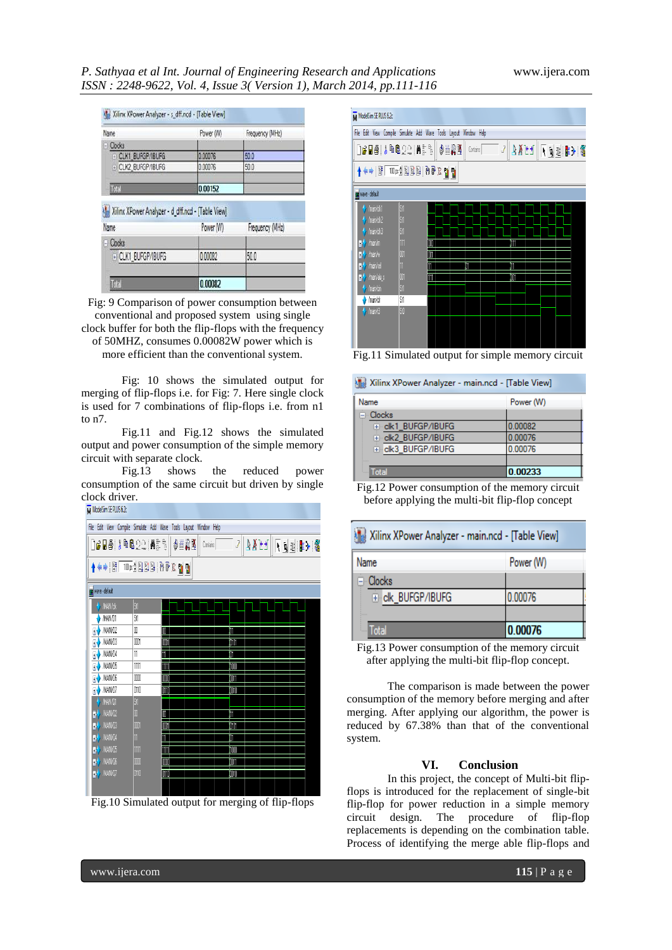### *P. Sathyaa et al Int. Journal of Engineering Research and Applications* www.ijera.com *ISSN : 2248-9622, Vol. 4, Issue 3( Version 1), March 2014, pp.111-116*

| Name                                                                    | Power (W) | Frequency (MHz)         |
|-------------------------------------------------------------------------|-----------|-------------------------|
| <b>Clocks</b>                                                           |           |                         |
| + CLK1 BUFGP/IBUFG                                                      | 0.00076   | 50.0                    |
| + CLK2_BUFGP/IBUFG                                                      | 0.00076   | 50.0                    |
| Total                                                                   | 0.00152   |                         |
|                                                                         |           |                         |
|                                                                         |           |                         |
| Name                                                                    | Power (W) |                         |
| - Clocks                                                                |           |                         |
| Xilinx XPower Analyzer - d_dff.ncd - [Table View]<br>+ CLK1_BUFGP/IBUFG | 0.00082   | Frequency (MHz)<br>50.0 |

Fig: 9 Comparison of power consumption between conventional and proposed system using single clock buffer for both the flip-flops with the frequency of 50MHZ, consumes 0.00082W power which is more efficient than the conventional system.

Fig: 10 shows the simulated output for merging of flip-flops i.e. for Fig: 7. Here single clock is used for 7 combinations of flip-flops i.e. from n1 to n7.

Fig.11 and Fig.12 shows the simulated output and power consumption of the simple memory circuit with separate clock.

Fig.13 shows the reduced power consumption of the same circuit but driven by single clock driver.



Fig.10 Simulated output for merging of flip-flops



Fig.11 Simulated output for simple memory circuit

| Xilinx XPower Analyzer - main.ncd - [Table View] |           |  |  |  |
|--------------------------------------------------|-----------|--|--|--|
| Name                                             | Power (W) |  |  |  |
| ⊟⊹Clocks                                         |           |  |  |  |
| F-ck1 BUFGP/IBUFG                                | 0.00082   |  |  |  |
| + clk2 BUFGP/IBUFG                               | 0.00076   |  |  |  |
| E clk3_BUFGP/IBUFG                               | 0.00076   |  |  |  |
|                                                  |           |  |  |  |
| Total                                            | 0.00233   |  |  |  |

Fig.12 Power consumption of the memory circuit before applying the multi-bit flip-flop concept

| Xilinx XPower Analyzer - main.ncd - [Table View] |           |  |  |  |
|--------------------------------------------------|-----------|--|--|--|
| Name                                             | Power (W) |  |  |  |
| <b>⊟</b> Clocks                                  |           |  |  |  |
| F ck_BUFGP/IBUFG                                 | 0.00076   |  |  |  |
|                                                  |           |  |  |  |
| <b>III</b> Total                                 | 0.00076   |  |  |  |

Fig.13 Power consumption of the memory circuit after applying the multi-bit flip-flop concept.

The comparison is made between the power consumption of the memory before merging and after merging. After applying our algorithm, the power is reduced by 67.38% than that of the conventional system.

#### **VI. Conclusion**

In this project, the concept of Multi-bit flipflops is introduced for the replacement of single-bit flip-flop for power reduction in a simple memory circuit design. The procedure of flip-flop replacements is depending on the combination table. Process of identifying the merge able flip-flops and